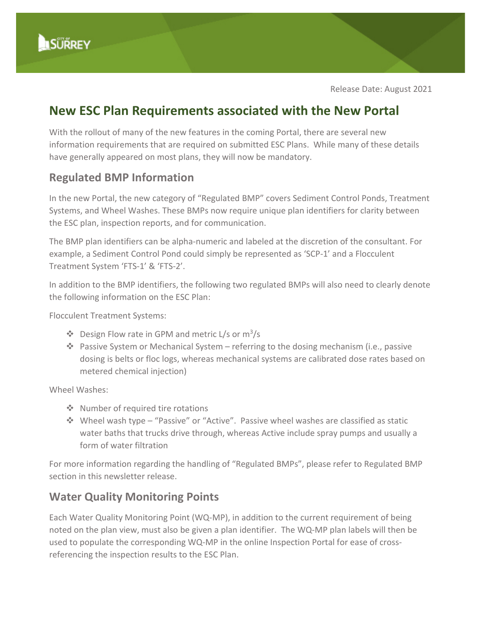

Release Date: August 2021

# **New ESC Plan Requirements associated with the New Portal**

With the rollout of many of the new features in the coming Portal, there are several new information requirements that are required on submitted ESC Plans. While many of these details have generally appeared on most plans, they will now be mandatory.

## **Regulated BMP Information**

In the new Portal, the new category of "Regulated BMP" covers Sediment Control Ponds, Treatment Systems, and Wheel Washes. These BMPs now require unique plan identifiers for clarity between the ESC plan, inspection reports, and for communication.

The BMP plan identifiers can be alpha-numeric and labeled at the discretion of the consultant. For example, a Sediment Control Pond could simply be represented as 'SCP-1' and a Flocculent Treatment System 'FTS-1' & 'FTS-2'.

In addition to the BMP identifiers, the following two regulated BMPs will also need to clearly denote the following information on the ESC Plan:

Flocculent Treatment Systems:

- $\cdot$  Design Flow rate in GPM and metric L/s or m<sup>3</sup>/s
- $\cdot$  Passive System or Mechanical System referring to the dosing mechanism (i.e., passive dosing is belts or floc logs, whereas mechanical systems are calibrated dose rates based on metered chemical injection)

Wheel Washes:

- ❖ Number of required tire rotations
- Wheel wash type "Passive" or "Active". Passive wheel washes are classified as static water baths that trucks drive through, whereas Active include spray pumps and usually a form of water filtration

For more information regarding the handling of "Regulated BMPs", please refer to Regulated BMP section in this newsletter release.

## **Water Quality Monitoring Points**

Each Water Quality Monitoring Point (WQ-MP), in addition to the current requirement of being noted on the plan view, must also be given a plan identifier. The WQ-MP plan labels will then be used to populate the corresponding WQ-MP in the online Inspection Portal for ease of crossreferencing the inspection results to the ESC Plan.